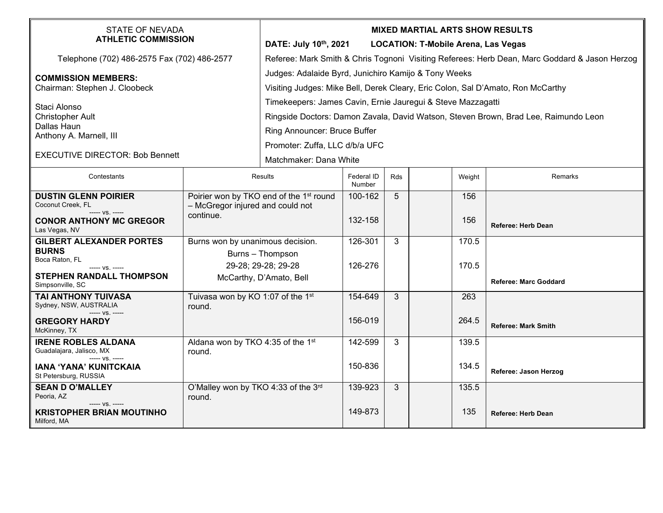| STATE OF NEVADA<br><b>ATHLETIC COMMISSION</b>                              |                                                                                         | <b>MIXED MARTIAL ARTS SHOW RESULTS</b><br>DATE: July 10th, 2021<br><b>LOCATION: T-Mobile Arena, Las Vegas</b>                           |                      |     |  |        |                              |  |
|----------------------------------------------------------------------------|-----------------------------------------------------------------------------------------|-----------------------------------------------------------------------------------------------------------------------------------------|----------------------|-----|--|--------|------------------------------|--|
| Telephone (702) 486-2575 Fax (702) 486-2577                                |                                                                                         | Referee: Mark Smith & Chris Tognoni Visiting Referees: Herb Dean, Marc Goddard & Jason Herzog                                           |                      |     |  |        |                              |  |
| <b>COMMISSION MEMBERS:</b><br>Chairman: Stephen J. Cloobeck                |                                                                                         | Judges: Adalaide Byrd, Junichiro Kamijo & Tony Weeks<br>Visiting Judges: Mike Bell, Derek Cleary, Eric Colon, Sal D'Amato, Ron McCarthy |                      |     |  |        |                              |  |
| Staci Alonso                                                               |                                                                                         | Timekeepers: James Cavin, Ernie Jauregui & Steve Mazzagatti                                                                             |                      |     |  |        |                              |  |
| <b>Christopher Ault</b><br>Dallas Haun                                     |                                                                                         | Ringside Doctors: Damon Zavala, David Watson, Steven Brown, Brad Lee, Raimundo Leon                                                     |                      |     |  |        |                              |  |
| Anthony A. Marnell, III                                                    |                                                                                         | Ring Announcer: Bruce Buffer                                                                                                            |                      |     |  |        |                              |  |
|                                                                            |                                                                                         | Promoter: Zuffa, LLC d/b/a UFC                                                                                                          |                      |     |  |        |                              |  |
| <b>EXECUTIVE DIRECTOR: Bob Bennett</b>                                     |                                                                                         | Matchmaker: Dana White                                                                                                                  |                      |     |  |        |                              |  |
| Contestants                                                                | Results                                                                                 |                                                                                                                                         | Federal ID<br>Number | Rds |  | Weight | Remarks                      |  |
| <b>DUSTIN GLENN POIRIER</b><br>Coconut Creek, FL<br>----- VS. -----        | Poirier won by TKO end of the 1 <sup>st</sup> round<br>- McGregor injured and could not |                                                                                                                                         | 100-162              | 5   |  | 156    |                              |  |
| <b>CONOR ANTHONY MC GREGOR</b><br>Las Vegas, NV                            | continue.                                                                               |                                                                                                                                         | 132-158              |     |  | 156    | <b>Referee: Herb Dean</b>    |  |
| <b>GILBERT ALEXANDER PORTES</b>                                            | Burns won by unanimous decision.                                                        |                                                                                                                                         | 126-301              | 3   |  | 170.5  |                              |  |
| <b>BURNS</b><br>Boca Raton, FL                                             |                                                                                         | Burns - Thompson                                                                                                                        |                      |     |  |        |                              |  |
| $--- VS. ---$                                                              | 29-28; 29-28; 29-28                                                                     |                                                                                                                                         | 126-276              |     |  | 170.5  |                              |  |
| STEPHEN RANDALL THOMPSON<br>Simpsonville, SC                               | McCarthy, D'Amato, Bell                                                                 |                                                                                                                                         |                      |     |  |        | <b>Referee: Marc Goddard</b> |  |
| TAI ANTHONY TUIVASA<br>Sydney, NSW, AUSTRALIA<br>$--- VS$ . $---$          | Tuivasa won by KO 1:07 of the 1st<br>round.                                             |                                                                                                                                         | 154-649              | 3   |  | 263    |                              |  |
| <b>GREGORY HARDY</b><br>McKinney, TX                                       |                                                                                         |                                                                                                                                         | 156-019              |     |  | 264.5  | <b>Referee: Mark Smith</b>   |  |
| <b>IRENE ROBLES ALDANA</b><br>Guadalajara, Jalisco, MX<br>$--- VS$ . $---$ | Aldana won by TKO 4:35 of the 1st<br>round.                                             |                                                                                                                                         | 142-599              | 3   |  | 139.5  |                              |  |
| IANA 'YANA' KUNITCKAIA<br>St Petersburg, RUSSIA                            |                                                                                         |                                                                                                                                         | 150-836              |     |  | 134.5  | Referee: Jason Herzog        |  |
| <b>SEAN D O'MALLEY</b><br>Peoria, AZ<br>$--- VS. ---$                      | O'Malley won by TKO 4:33 of the 3rd<br>round.                                           |                                                                                                                                         | 139-923              | 3   |  | 135.5  |                              |  |
| <b>KRISTOPHER BRIAN MOUTINHO</b><br>Milford, MA                            |                                                                                         |                                                                                                                                         | 149-873              |     |  | 135    | <b>Referee: Herb Dean</b>    |  |